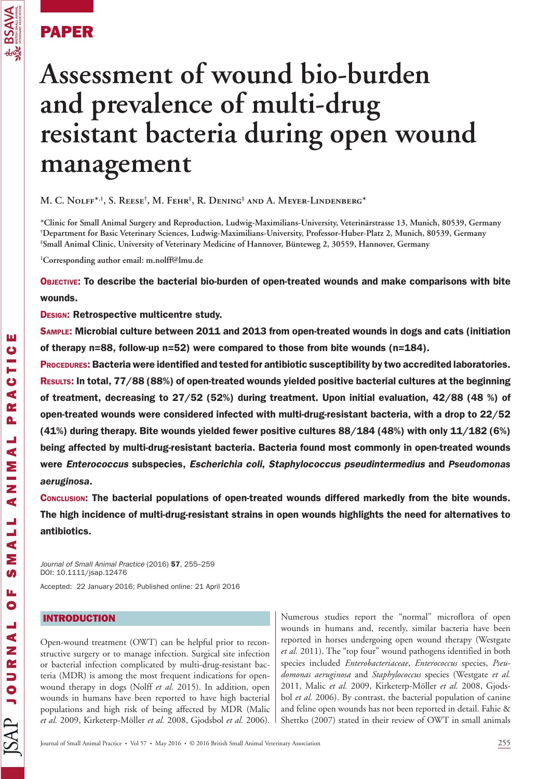

# PAPER

# **Assessment of wound bio-burden and prevalence of multi-drug resistant bacteria during open wound management**

**M. C. Nolff \*,<sup>1</sup> , S. Reese † , M. Fehr ‡ , R. Dening ‡ and A. Meyer-Lindenberg \*** 

**\* Clinic for Small Animal Surgery and Reproduction , Ludwig-Maximilians-University , Veterinärstrasse 13 , Munich , 80539 , Germany † Department for Basic Veterinary Sciences , Ludwig-Maximilians-University , Professor-Huber-Platz 2 , Munich , 80539 , Germany ‡** <sup>\*</sup>Small Animal Clinic, University of Veterinary Medicine of Hannover, Bünteweg 2, 30559, Hannover, Germany

**1 Corresponding author email: m.nolff@lmu.de** 

OBJECTIVE: To describe the bacterial bio-burden of open-treated wounds and make comparisons with bite wounds.

DESIGN: Retrospective multicentre study.

SAMPLE: Microbial culture between 2011 and 2013 from open-treated wounds in dogs and cats (initiation of therapy n=88, follow-up n=52) were compared to those from bite wounds (n=184).

PROCEDURES: Bacteria were identified and tested for antibiotic susceptibility by two accredited laboratories. RESULTS: In total, 77/88 (88%) of open-treated wounds yielded positive bacterial cultures at the beginning of treatment, decreasing to 27/52 (52%) during treatment. Upon initial evaluation, 42/88 (48 %) of open-treated wounds were considered infected with multi-drug-resistant bacteria, with a drop to 22/52 (41%) during therapy. Bite wounds yielded fewer positive cultures 88/184 (48%) with only 11/182 (6%) being affected by multi-drug-resistant bacteria. Bacteria found most commonly in open-treated wounds were *Enterococcus* subspecies, *Escherichia coli*, *Staphylococcus pseudintermedius* and *Pseudomonas aeruginosa*.

CONCLUSION: The bacterial populations of open-treated wounds differed markedly from the bite wounds. The high incidence of multi-drug-resistant strains in open wounds highlights the need for alternatives to antibiotics.

*Journal of Small Animal Practice* (2016) 57, 255–259 DOI: 10.1111/jsap.12476

Accepted: 22 January 2016; Published online: 21 April 2016

# INTRODUCTION

 Open-wound treatment (OWT) can be helpful prior to reconstructive surgery or to manage infection. Surgical site infection or bacterial infection complicated by multi-drug-resistant bacteria (MDR) is among the most frequent indications for openwound therapy in dogs (Nolff *et al.* 2015). In addition, open wounds in humans have been reported to have high bacterial populations and high risk of being affected by MDR (Malic *et al.* 2009 , Kirketerp-Möller *et al.* 2008 , Gjodsbol *et al.* 2006 ).

Numerous studies report the "normal" microflora of open wounds in humans and, recently, similar bacteria have been reported in horses undergoing open wound therapy (Westgate et al. 2011). The "top four" wound pathogens identified in both species included *Enterobacteriaceae* , *Enterococcus* species, *Pseudomonas aeruginosa* and *Staphylococcus* species (Westgate *et al.* 2011, Malic et al. 2009, Kirketerp-Möller et al. 2008, Gjodsbol *et al.* 2006). By contrast, the bacterial population of canine and feline open wounds has not been reported in detail. Fahie & Shettko (2007) stated in their review of OWT in small animals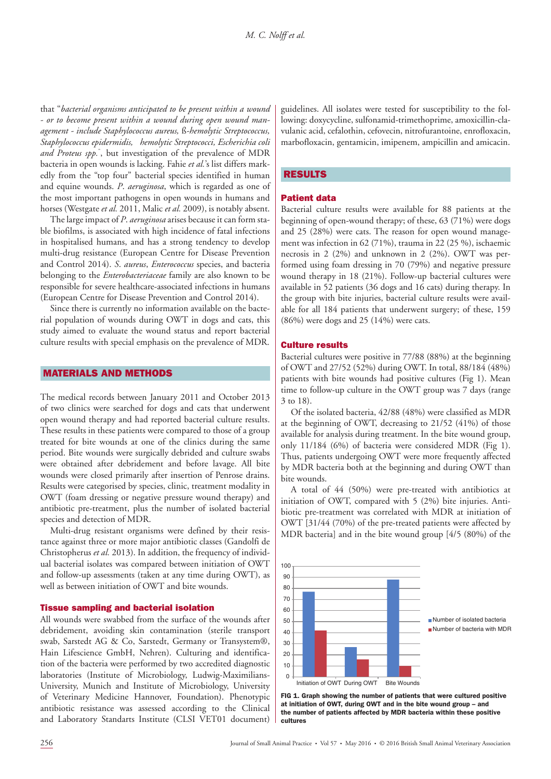that " *bacterial organisms anticipated to be present within a wound - or to become present within a wound during open wound management - include Staphylococcus aureus,* ß *-hemolytic Streptococcus, Staphylococcus epidermidis, hemolytic Streptococci, Escherichia coli*  and Proteus spp.<sup>"</sup>, but investigation of the prevalence of MDR bacteria in open wounds is lacking. Fahie *et al.* 's list differs markedly from the "top four" bacterial species identified in human and equine wounds. *P. aeruginosa*, which is regarded as one of the most important pathogens in open wounds in humans and horses (Westgate *et al.* 2011, Malic *et al.* 2009), is notably absent.

The large impact of *P. aeruginosa* arises because it can form stable biofilms, is associated with high incidence of fatal infections in hospitalised humans, and has a strong tendency to develop multi-drug resistance (European Centre for Disease Prevention and Control 2014). *S. aureus, Enterococcus* species, and bacteria belonging to the *Enterobacteriaceae* family are also known to be responsible for severe healthcare-associated infections in humans (European Centre for Disease Prevention and Control 2014).

 Since there is currently no information available on the bacterial population of wounds during OWT in dogs and cats, this study aimed to evaluate the wound status and report bacterial culture results with special emphasis on the prevalence of MDR.

## MATERIALS AND METHODS

 The medical records between January 2011 and October 2013 of two clinics were searched for dogs and cats that underwent open wound therapy and had reported bacterial culture results. These results in these patients were compared to those of a group treated for bite wounds at one of the clinics during the same period. Bite wounds were surgically debrided and culture swabs were obtained after debridement and before lavage. All bite wounds were closed primarily after insertion of Penrose drains. Results were categorised by species, clinic, treatment modality in OWT (foam dressing or negative pressure wound therapy) and antibiotic pre-treatment, plus the number of isolated bacterial species and detection of MDR.

 Multi-drug resistant organisms were defined by their resistance against three or more major antibiotic classes (Gandolfi de Christopherus *et al.* 2013). In addition, the frequency of individual bacterial isolates was compared between initiation of OWT and follow-up assessments (taken at any time during OWT), as well as between initiation of OWT and bite wounds.

#### Tissue sampling and bacterial isolation

 All wounds were swabbed from the surface of the wounds after debridement, avoiding skin contamination (sterile transport swab, Sarstedt AG & Co, Sarstedt, Germany or Transystem®, Hain Lifescience GmbH, Nehren). Culturing and identification of the bacteria were performed by two accredited diagnostic laboratories (Institute of Microbiology, Ludwig-Maximilians-University, Munich and Institute of Microbiology, University of Veterinary Medicine Hannover, Foundation). Phenotypic antibiotic resistance was assessed according to the Clinical and Laboratory Standarts Institute (CLSI VET01 document)

 guidelines. All isolates were tested for susceptibility to the following: doxycycline, sulfonamid-trimethoprime, amoxicillin-clavulanic acid, cefalothin, cefovecin, nitrofurantoine, enrofloxacin, marbofloxacin, gentamicin, imipenem, ampicillin and amicacin.

#### RESULTS

## Patient data

 Bacterial culture results were available for 88 patients at the beginning of open-wound therapy; of these, 63 (71%) were dogs and 25 (28%) were cats. The reason for open wound management was infection in 62 (71%), trauma in 22 (25 %), ischaemic necrosis in 2 (2%) and unknown in 2 (2%). OWT was performed using foam dressing in 70 (79%) and negative pressure wound therapy in 18 (21%). Follow-up bacterial cultures were available in 52 patients (36 dogs and 16 cats) during therapy. In the group with bite injuries, bacterial culture results were available for all 184 patients that underwent surgery; of these, 159 (86%) were dogs and 25 (14%) were cats.

#### Culture results

 Bacterial cultures were positive in 77/88 (88%) at the beginning of OWT and 27/52 (52%) during OWT. In total, 88/184 (48%) patients with bite wounds had positive cultures (Fig 1). Mean time to follow-up culture in the OWT group was 7 days (range 3 to 18) .

 Of the isolated bacteria, 42/88 (48%) were classified as MDR at the beginning of OWT, decreasing to 21/52 (41%) of those available for analysis during treatment. In the bite wound group, only  $11/184$  (6%) of bacteria were considered MDR (Fig 1). Thus, patients undergoing OWT were more frequently affected by MDR bacteria both at the beginning and during OWT than bite wounds.

 A total of 44 (50%) were pre-treated with antibiotics at initiation of OWT, compared with 5 (2%) bite injuries. Antibiotic pre-treatment was correlated with MDR at initiation of OWT [31/44 (70%) of the pre-treated patients were affected by MDR bacteria] and in the bite wound group [4/5 (80%) of the



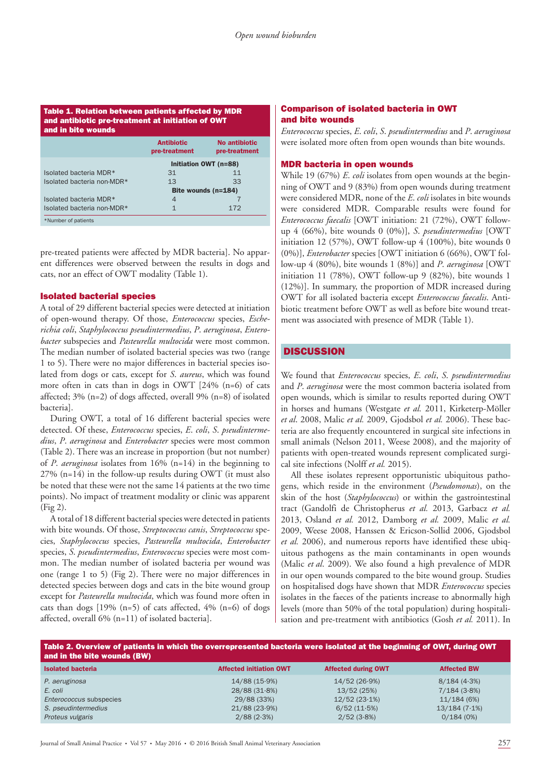#### Table 1. Relation between patients affected by MDR and antibiotic pre-treatment at initiation of OWT and in bite wounds

|                            | <b>Antibiotic</b>     | No antibiotic |
|----------------------------|-----------------------|---------------|
|                            | pre-treatment         | pre-treatment |
|                            | Initiation OWT (n=88) |               |
| Isolated bacteria MDR*     | 31                    | 11            |
| Isolated bacteria non-MDR* | 13                    | 33            |
|                            | Bite wounds (n=184)   |               |
| Isolated bacteria MDR*     | $\overline{4}$        |               |
| Isolated bacteria non-MDR* | 1                     | 172           |
| *Number of patients        |                       |               |

 pre-treated patients were affected by MDR bacteria]. No apparent differences were observed between the results in dogs and cats, nor an effect of OWT modality (Table 1).

### Isolated bacterial species

 A total of 29 different bacterial species were detected at initiation of open-wound therapy. Of those, *Enterococcus* species, *Escherichia coli* , *Staphylococcus pseudintermedius* , *P* . *aeruginosa* , *Enterobacter* subspecies and *Pasteurella multocida* were most common. The median number of isolated bacterial species was two (range 1 to 5) . There were no major differences in bacterial species isolated from dogs or cats, except for *S. aureus*, which was found more often in cats than in dogs in OWT  $[24\% (n=6)$  of cats affected;  $3\%$  (n=2) of dogs affected, overall 9% (n=8) of isolated bacteria].

 During OWT, a total of 16 different bacterial species were detected. Of these, *Enterococcus* species, *E* . *coli* , *S* . *pseudintermedius* , *P* . *aeruginosa* and *Enterobacter* species were most common (Table 2). There was an increase in proportion (but not number) of *P. aeruginosa* isolates from 16% (n=14) in the beginning to  $27\%$  (n=14) in the follow-up results during OWT (it must also be noted that these were not the same 14 patients at the two time points). No impact of treatment modality or clinic was apparent  $(Fig 2)$ .

 A total of 18 different bacterial species were detected in patients with bite wounds. Of those, *Streptococcus canis* , *Streptococcus* species, *Staphylococcus* species, *Pasteurella multocida* , *Enterobacter* species, *S* . *pseudintermedius* , *Enterococcus* species were most common. The median number of isolated bacteria per wound was one (range 1 to 5) (Fig 2). There were no major differences in detected species between dogs and cats in the bite wound group except for *Pasteurella multocida*, which was found more often in cats than dogs  $[19\% (n=5)$  of cats affected,  $4\% (n=6)$  of dogs affected, overall  $6\%$  (n=11) of isolated bacteria].

#### Comparison of isolated bacteria in OWT and bite wounds

*Enterococcus* species, *E* . *coli* , *S* . *pseudintermedius* and *P* . *aeruginosa* were isolated more often from open wounds than bite wounds.

#### MDR bacteria in open wounds

While 19 (67%) *E. coli* isolates from open wounds at the beginning of OWT and 9 (83%) from open wounds during treatment were considered MDR, none of the *E. coli* isolates in bite wounds were considered MDR. Comparable results were found for *Enterococcus faecalis* [OWT initiation: 21 (72%), OWT followup 4 (66%), bite wounds 0 (0%)], *S* . *pseudintermedius* [OWT initiation 12 (57%), OWT follow-up 4 (100%), bite wounds 0 (0%)], *Enterobacter* species [OWT initiation 6 (66%), OWT follow-up 4 (80%), bite wounds 1 (8%)] and *P. aeruginosa* [OWT] initiation 11 (78%), OWT follow-up 9 (82%), bite wounds 1 (12%)]. In summary, the proportion of MDR increased during OWT for all isolated bacteria except *Enterococcus faecalis* . Antibiotic treatment before OWT as well as before bite wound treatment was associated with presence of MDR (Table 1).

# **DISCUSSION**

 We found that *Enterococcus* species, *E* . *coli* , *S* . *pseudintermedius* and *P. aeruginosa* were the most common bacteria isolated from open wounds, which is similar to results reported during OWT in horses and humans (Westgate et al. 2011, Kirketerp-Möller *et al* . 2008 , Malic *et al.* 2009 , Gjodsbol *et al.* 2006 ). These bacteria are also frequently encountered in surgical site infections in small animals (Nelson 2011, Weese 2008), and the majority of patients with open-treated wounds represent complicated surgical site infections (Nolff et al. 2015).

 All these isolates represent opportunistic ubiquitous pathogens, which reside in the environment (Pseudomonas), on the skin of the host (*Staphylococcus*) or within the gastrointestinal tract (Gandolfi de Christopherus *et al.* 2013 , Garbacz *et al.* 2013, Osland et al. 2012, Damborg et al. 2009, Malic et al. 2009, Weese 2008, Hanssen & Ericson-Sollid 2006, Gjodsbol et al. 2006), and numerous reports have identified these ubiquitous pathogens as the main contaminants in open wounds (Malic *et al.* 2009). We also found a high prevalence of MDR in our open wounds compared to the bite wound group. Studies on hospitalised dogs have shown that MDR *Enterococcus* species isolates in the faeces of the patients increase to abnormally high levels (more than 50% of the total population) during hospitalisation and pre-treatment with antibiotics (Gosh *et al.* 2011 ). In

| Table 2. Overview of patients in which the overrepresented bacteria were isolated at the beginning of OWT, during OWT<br>and in the bite wounds (BW) |                                |                            |                    |  |
|------------------------------------------------------------------------------------------------------------------------------------------------------|--------------------------------|----------------------------|--------------------|--|
| <b>Isolated bacteria</b>                                                                                                                             | <b>Affected initiation OWT</b> | <b>Affected during OWT</b> | <b>Affected BW</b> |  |
| P. aeruginosa                                                                                                                                        | $14/88(15.9\%)$                | 14/52(26.9%)               | 8/184(4.3%)        |  |
| E. coli                                                                                                                                              | 28/88(31.8%)                   | 13/52 (25%)                | 7/184(3.8%)        |  |
| Enterococcus subspecies                                                                                                                              | 29/88 (33%)                    | $12/52(23.1\%)$            | 11/184(6%)         |  |
| S. pseudintermedius                                                                                                                                  | $21/88(23.9\%)$                | 6/52(11.5%)                | $13/184(7.1\%)$    |  |
| Proteus vulgaris                                                                                                                                     | $2/88$ (2.3%)                  | 2/52(3.8%)                 | 0/184(0%)          |  |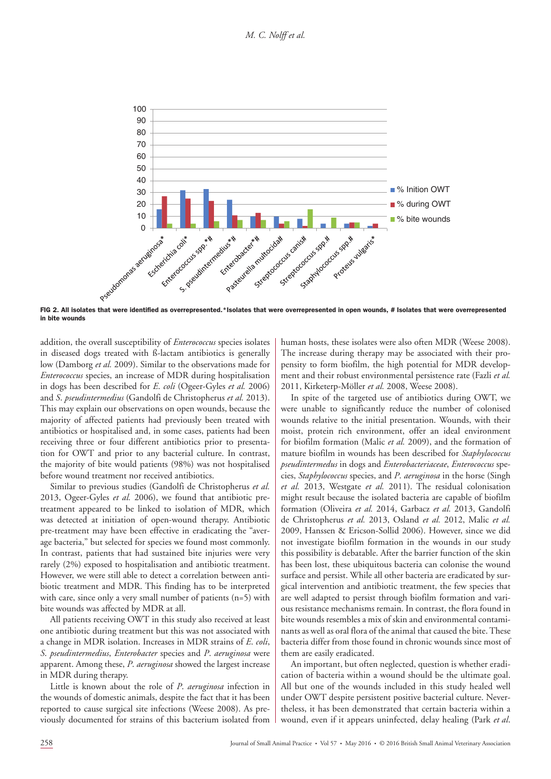*M. C. Nolff et al.*



FIG 2 . All isolates that were identified as overrepresented.\*Isolates that were overrepresented in open wounds, # Isolates that were overrepresented in bite wounds

addition, the overall susceptibility of *Enterococcus* species isolates in diseased dogs treated with ß-lactam antibiotics is generally low (Damborg et al. 2009). Similar to the observations made for *Enterococcus* species, an increase of MDR during hospitalisation in dogs has been described for *E. coli* (Ogeer-Gyles *et al.* 2006) and *S* . *pseudintermedius* (Gandolfi de Christopherus *et al.* 2013 ). This may explain our observations on open wounds, because the majority of affected patients had previously been treated with antibiotics or hospitalised and, in some cases, patients had been receiving three or four different antibiotics prior to presentation for OWT and prior to any bacterial culture. In contrast, the majority of bite would patients (98%) was not hospitalised before wound treatment nor received antibiotics.

 Similar to previous studies (Gandolfi de Christopherus *et al.* 2013, Ogeer-Gyles *et al.* 2006), we found that antibiotic pretreatment appeared to be linked to isolation of MDR, which was detected at initiation of open-wound therapy. Antibiotic pre-treatment may have been effective in eradicating the "average bacteria," but selected for species we found most commonly. In contrast, patients that had sustained bite injuries were very rarely (2%) exposed to hospitalisation and antibiotic treatment. However, we were still able to detect a correlation between antibiotic treatment and MDR. This finding has to be interpreted with care, since only a very small number of patients  $(n=5)$  with bite wounds was affected by MDR at all.

 All patients receiving OWT in this study also received at least one antibiotic during treatment but this was not associated with a change in MDR isolation. Increases in MDR strains of *E* . *coli* , *S* . *pseudintermedius* , *Enterobacter* species and *P* . *aeruginosa* were apparent. Among these, *P. aeruginosa* showed the largest increase in MDR during therapy.

Little is known about the role of *P. aeruginosa* infection in the wounds of domestic animals, despite the fact that it has been reported to cause surgical site infections (Weese 2008). As previously documented for strains of this bacterium isolated from

human hosts, these isolates were also often MDR (Weese 2008). The increase during therapy may be associated with their propensity to form biofilm, the high potential for MDR development and their robust environmental persistence rate (Fazli *et al.* 2011 , Kirketerp-Möller *et al.* 2008 , Weese 2008 ).

 In spite of the targeted use of antibiotics during OWT, we were unable to significantly reduce the number of colonised wounds relative to the initial presentation. Wounds, with their moist, protein rich environment, offer an ideal environment for biofilm formation (Malic et al. 2009), and the formation of mature biofilm in wounds has been described for *Staphylococcus pseudintermedus* in dogs and *Enterobacteriaceae* , *Enterococcus* species, *Staphylococcus* species, and *P* . *aeruginosa* in the horse (Singh *et al.* 2013, Westgate *et al.* 2011). The residual colonisation might result because the isolated bacteria are capable of biofilm formation (Oliveira et al. 2014, Garbacz et al. 2013, Gandolfi de Christopherus et al. 2013, Osland et al. 2012, Malic et al. 2009, Hanssen & Ericson-Sollid 2006). However, since we did not investigate biofilm formation in the wounds in our study this possibility is debatable. After the barrier function of the skin has been lost, these ubiquitous bacteria can colonise the wound surface and persist. While all other bacteria are eradicated by surgical intervention and antibiotic treatment, the few species that are well adapted to persist through biofilm formation and various resistance mechanisms remain. In contrast, the flora found in bite wounds resembles a mix of skin and environmental contaminants as well as oral flora of the animal that caused the bite. These bacteria differ from those found in chronic wounds since most of them are easily eradicated.

 An important, but often neglected, question is whether eradication of bacteria within a wound should be the ultimate goal. All but one of the wounds included in this study healed well under OWT despite persistent positive bacterial culture. Nevertheless, it has been demonstrated that certain bacteria within a wound, even if it appears uninfected, delay healing (Park *et al* .